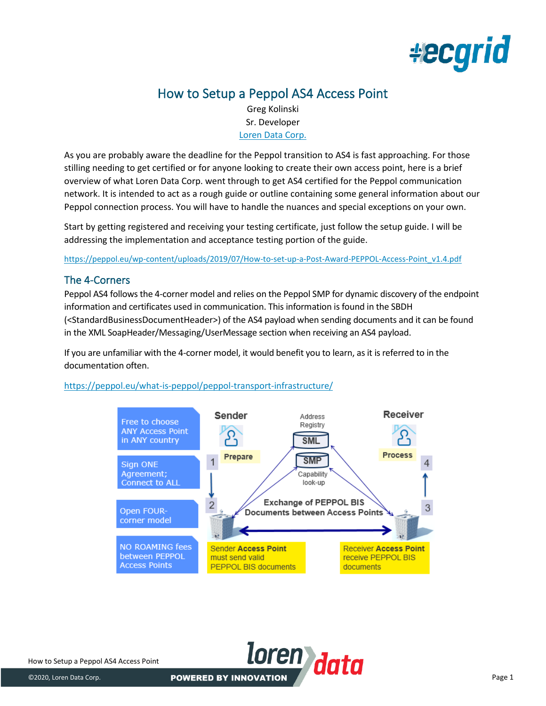

# How to Setup a Peppol AS4 Access Point

Greg Kolinski Sr. Developer [Loren Data Corp.](https://www.ld.com/)

As you are probably aware the deadline for the Peppol transition to AS4 is fast approaching. For those stilling needing to get certified or for anyone looking to create their own access point, here is a brief overview of what Loren Data Corp. went through to get AS4 certified for the Peppol communication network. It is intended to act as a rough guide or outline containing some general information about our Peppol connection process. You will have to handle the nuances and special exceptions on your own.

Start by getting registered and receiving your testing certificate, just follow the setup guide. I will be addressing the implementation and acceptance testing portion of the guide.

[https://peppol.eu/wp-content/uploads/2019/07/How-to-set-up-a-Post-Award-PEPPOL-Access-Point\\_v1.4.pdf](https://peppol.eu/wp-content/uploads/2019/07/How-to-set-up-a-Post-Award-PEPPOL-Access-Point_v1.4.pdf)

# The 4-Corners

Peppol AS4 follows the 4-corner model and relies on the Peppol SMP for dynamic discovery of the endpoint information and certificates used in communication. This information is found in the SBDH (<StandardBusinessDocumentHeader>) of the AS4 payload when sending documents and it can be found in the XML SoapHeader/Messaging/UserMessage section when receiving an AS4 payload.

If you are unfamiliar with the 4-corner model, it would benefit you to learn, as it is referred to in the documentation often.

<https://peppol.eu/what-is-peppol/peppol-transport-infrastructure/>

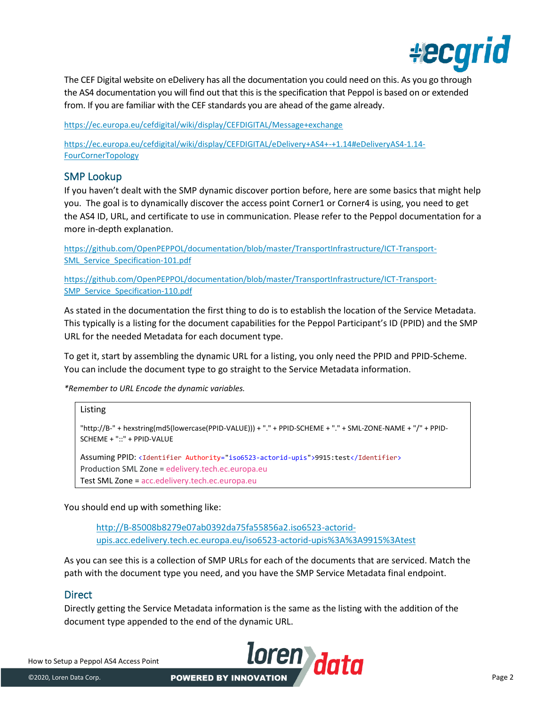

The CEF Digital website on eDelivery has all the documentation you could need on this. As you go through the AS4 documentation you will find out that this is the specification that Peppol is based on or extended from. If you are familiar with the CEF standards you are ahead of the game already.

<https://ec.europa.eu/cefdigital/wiki/display/CEFDIGITAL/Message+exchange>

[https://ec.europa.eu/cefdigital/wiki/display/CEFDIGITAL/eDelivery+AS4+-+1.14#eDeliveryAS4-1.14-](https://ec.europa.eu/cefdigital/wiki/display/CEFDIGITAL/eDelivery+AS4+-+1.14#eDeliveryAS4-1.14-FourCornerTopology) [FourCornerTopology](https://ec.europa.eu/cefdigital/wiki/display/CEFDIGITAL/eDelivery+AS4+-+1.14#eDeliveryAS4-1.14-FourCornerTopology)

## SMP Lookup

If you haven't dealt with the SMP dynamic discover portion before, here are some basics that might help you. The goal is to dynamically discover the access point Corner1 or Corner4 is using, you need to get the AS4 ID, URL, and certificate to use in communication. Please refer to the Peppol documentation for a more in-depth explanation.

[https://github.com/OpenPEPPOL/documentation/blob/master/TransportInfrastructure/ICT-Transport-](https://github.com/OpenPEPPOL/documentation/blob/master/TransportInfrastructure/ICT-Transport-SML_Service_Specification-101.pdf)SML Service Specification-101.pdf

[https://github.com/OpenPEPPOL/documentation/blob/master/TransportInfrastructure/ICT-Transport-](https://github.com/OpenPEPPOL/documentation/blob/master/TransportInfrastructure/ICT-Transport-SMP_Service_Specification-110.pdf)[SMP\\_Service\\_Specification-110.pdf](https://github.com/OpenPEPPOL/documentation/blob/master/TransportInfrastructure/ICT-Transport-SMP_Service_Specification-110.pdf)

As stated in the documentation the first thing to do is to establish the location of the Service Metadata. This typically is a listing for the document capabilities for the Peppol Participant's ID (PPID) and the SMP URL for the needed Metadata for each document type.

To get it, start by assembling the dynamic URL for a listing, you only need the PPID and PPID-Scheme. You can include the document type to go straight to the Service Metadata information.

*\*Remember to URL Encode the dynamic variables.*

# Listing "http://B-" + hexstring(md5(lowercase(PPID-VALUE))) + "." + PPID-SCHEME + "." + SML-ZONE-NAME + "/" + PPID-SCHEME + "::" + PPID-VALUE Assuming PPID: <Identifier Authority="iso6523-actorid-upis">9915:test</Identifier> Production SML Zone = edelivery.tech.ec.europa.eu Test SML Zone = acc.edelivery.tech.ec.europa.eu

You should end up with something like:

[http://B-85008b8279e07ab0392da75fa55856a2.iso6523-actorid](http://b-85008b8279e07ab0392da75fa55856a2.iso6523-actorid-upis.acc.edelivery.tech.ec.europa.eu/iso6523-actorid-upis%3A%3A9915%3Atest)[upis.acc.edelivery.tech.ec.europa.eu/iso6523-actorid-upis%3A%3A9915%3Atest](http://b-85008b8279e07ab0392da75fa55856a2.iso6523-actorid-upis.acc.edelivery.tech.ec.europa.eu/iso6523-actorid-upis%3A%3A9915%3Atest)

As you can see this is a collection of SMP URLs for each of the documents that are serviced. Match the path with the document type you need, and you have the SMP Service Metadata final endpoint.

## **Direct**

Directly getting the Service Metadata information is the same as the listing with the addition of the document type appended to the end of the dynamic URL.

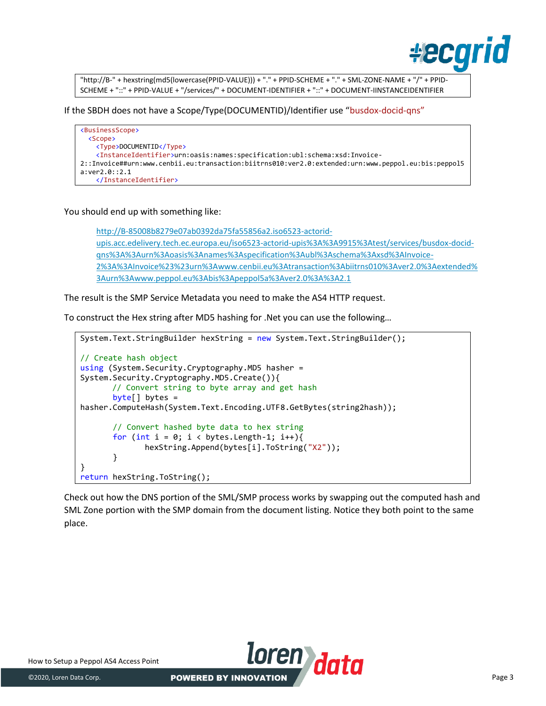

"http://B-" + hexstring(md5(lowercase(PPID-VALUE))) + "." + PPID-SCHEME + "." + SML-ZONE-NAME + "/" + PPID-SCHEME + "::" + PPID-VALUE + "/services/" + DOCUMENT-IDENTIFIER + "::" + DOCUMENT-IINSTANCEIDENTIFIER

If the SBDH does not have a Scope/Type(DOCUMENTID)/Identifier use "busdox-docid-qns"

```
<BusinessScope>
   <Scope>
     <Type>DOCUMENTID</Type>
     <InstanceIdentifier>urn:oasis:names:specification:ubl:schema:xsd:Invoice-
2::Invoice##urn:www.cenbii.eu:transaction:biitrns010:ver2.0:extended:urn:www.peppol.eu:bis:peppol5
a:ver2.0::2.1
     </InstanceIdentifier>
```
You should end up with something like:

[http://B-85008b8279e07ab0392da75fa55856a2.iso6523-actorid](http://b-85008b8279e07ab0392da75fa55856a2.iso6523-actorid-upis.acc.edelivery.tech.ec.europa.eu/iso6523-actorid-upis%3A%3A9915%3Atest/services/busdox-docid-qns%3A%3Aurn%3Aoasis%3Anames%3Aspecification%3Aubl%3Aschema%3Axsd%3AInvoice-2%3A%3AInvoice%23%23urn%3Awww.cenbii.eu%3Atransaction%3Abiitrns010%3Aver2.0%3Aextended%3Aurn%3Awww.peppol.eu%3Abis%3Apeppol5a%3Aver2.0%3A%3A2.1)[upis.acc.edelivery.tech.ec.europa.eu/iso6523-actorid-upis%3A%3A9915%3Atest/services/busdox-docid](http://b-85008b8279e07ab0392da75fa55856a2.iso6523-actorid-upis.acc.edelivery.tech.ec.europa.eu/iso6523-actorid-upis%3A%3A9915%3Atest/services/busdox-docid-qns%3A%3Aurn%3Aoasis%3Anames%3Aspecification%3Aubl%3Aschema%3Axsd%3AInvoice-2%3A%3AInvoice%23%23urn%3Awww.cenbii.eu%3Atransaction%3Abiitrns010%3Aver2.0%3Aextended%3Aurn%3Awww.peppol.eu%3Abis%3Apeppol5a%3Aver2.0%3A%3A2.1)[qns%3A%3Aurn%3Aoasis%3Anames%3Aspecification%3Aubl%3Aschema%3Axsd%3AInvoice-](http://b-85008b8279e07ab0392da75fa55856a2.iso6523-actorid-upis.acc.edelivery.tech.ec.europa.eu/iso6523-actorid-upis%3A%3A9915%3Atest/services/busdox-docid-qns%3A%3Aurn%3Aoasis%3Anames%3Aspecification%3Aubl%3Aschema%3Axsd%3AInvoice-2%3A%3AInvoice%23%23urn%3Awww.cenbii.eu%3Atransaction%3Abiitrns010%3Aver2.0%3Aextended%3Aurn%3Awww.peppol.eu%3Abis%3Apeppol5a%3Aver2.0%3A%3A2.1)[2%3A%3AInvoice%23%23urn%3Awww.cenbii.eu%3Atransaction%3Abiitrns010%3Aver2.0%3Aextended%](http://b-85008b8279e07ab0392da75fa55856a2.iso6523-actorid-upis.acc.edelivery.tech.ec.europa.eu/iso6523-actorid-upis%3A%3A9915%3Atest/services/busdox-docid-qns%3A%3Aurn%3Aoasis%3Anames%3Aspecification%3Aubl%3Aschema%3Axsd%3AInvoice-2%3A%3AInvoice%23%23urn%3Awww.cenbii.eu%3Atransaction%3Abiitrns010%3Aver2.0%3Aextended%3Aurn%3Awww.peppol.eu%3Abis%3Apeppol5a%3Aver2.0%3A%3A2.1) [3Aurn%3Awww.peppol.eu%3Abis%3Apeppol5a%3Aver2.0%3A%3A2.1](http://b-85008b8279e07ab0392da75fa55856a2.iso6523-actorid-upis.acc.edelivery.tech.ec.europa.eu/iso6523-actorid-upis%3A%3A9915%3Atest/services/busdox-docid-qns%3A%3Aurn%3Aoasis%3Anames%3Aspecification%3Aubl%3Aschema%3Axsd%3AInvoice-2%3A%3AInvoice%23%23urn%3Awww.cenbii.eu%3Atransaction%3Abiitrns010%3Aver2.0%3Aextended%3Aurn%3Awww.peppol.eu%3Abis%3Apeppol5a%3Aver2.0%3A%3A2.1)

The result is the SMP Service Metadata you need to make the AS4 HTTP request.

To construct the Hex string after MD5 hashing for .Net you can use the following…

```
System.Text.StringBuilder hexString = new System.Text.StringBuilder();
// Create hash object
using (System.Security.Cryptography.MD5 hasher = 
System.Security.Cryptography.MD5.Create()){
       // Convert string to byte array and get hash
       byte[] bytes =hasher.ComputeHash(System.Text.Encoding.UTF8.GetBytes(string2hash));
        // Convert hashed byte data to hex string
       for (int i = 0; i < bytes.Length-1; i++){
               hexString.Append(bytes[i].ToString("X2"));
        }
}
return hexString.ToString();
```
Check out how the DNS portion of the SML/SMP process works by swapping out the computed hash and SML Zone portion with the SMP domain from the document listing. Notice they both point to the same place.

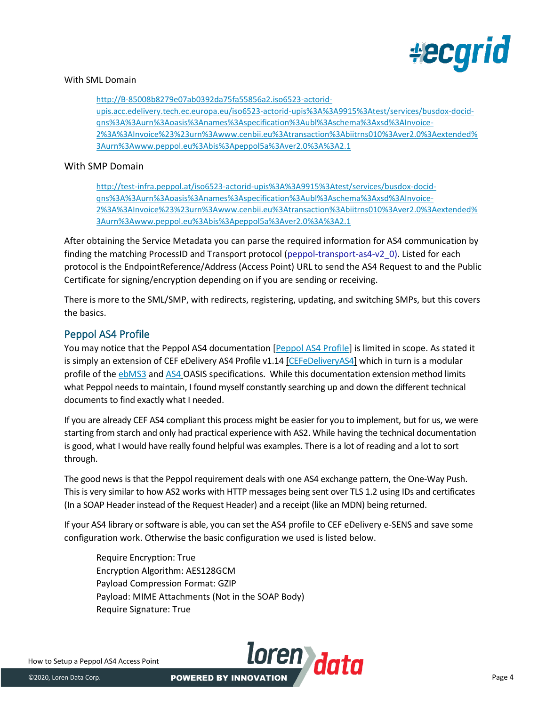

### With SML Domain

[http://B-85008b8279e07ab0392da75fa55856a2.iso6523-actorid](http://b-85008b8279e07ab0392da75fa55856a2.iso6523-actorid-upis.acc.edelivery.tech.ec.europa.eu/iso6523-actorid-upis%3A%3A9915%3Atest/services/busdox-docid-qns%3A%3Aurn%3Aoasis%3Anames%3Aspecification%3Aubl%3Aschema%3Axsd%3AInvoice-2%3A%3AInvoice%23%23urn%3Awww.cenbii.eu%3Atransaction%3Abiitrns010%3Aver2.0%3Aextended%3Aurn%3Awww.peppol.eu%3Abis%3Apeppol5a%3Aver2.0%3A%3A2.1)[upis.acc.edelivery.tech.ec.europa.eu/iso6523-actorid-upis%3A%3A9915%3Atest/services/busdox-docid](http://b-85008b8279e07ab0392da75fa55856a2.iso6523-actorid-upis.acc.edelivery.tech.ec.europa.eu/iso6523-actorid-upis%3A%3A9915%3Atest/services/busdox-docid-qns%3A%3Aurn%3Aoasis%3Anames%3Aspecification%3Aubl%3Aschema%3Axsd%3AInvoice-2%3A%3AInvoice%23%23urn%3Awww.cenbii.eu%3Atransaction%3Abiitrns010%3Aver2.0%3Aextended%3Aurn%3Awww.peppol.eu%3Abis%3Apeppol5a%3Aver2.0%3A%3A2.1)[qns%3A%3Aurn%3Aoasis%3Anames%3Aspecification%3Aubl%3Aschema%3Axsd%3AInvoice-](http://b-85008b8279e07ab0392da75fa55856a2.iso6523-actorid-upis.acc.edelivery.tech.ec.europa.eu/iso6523-actorid-upis%3A%3A9915%3Atest/services/busdox-docid-qns%3A%3Aurn%3Aoasis%3Anames%3Aspecification%3Aubl%3Aschema%3Axsd%3AInvoice-2%3A%3AInvoice%23%23urn%3Awww.cenbii.eu%3Atransaction%3Abiitrns010%3Aver2.0%3Aextended%3Aurn%3Awww.peppol.eu%3Abis%3Apeppol5a%3Aver2.0%3A%3A2.1)[2%3A%3AInvoice%23%23urn%3Awww.cenbii.eu%3Atransaction%3Abiitrns010%3Aver2.0%3Aextended%](http://b-85008b8279e07ab0392da75fa55856a2.iso6523-actorid-upis.acc.edelivery.tech.ec.europa.eu/iso6523-actorid-upis%3A%3A9915%3Atest/services/busdox-docid-qns%3A%3Aurn%3Aoasis%3Anames%3Aspecification%3Aubl%3Aschema%3Axsd%3AInvoice-2%3A%3AInvoice%23%23urn%3Awww.cenbii.eu%3Atransaction%3Abiitrns010%3Aver2.0%3Aextended%3Aurn%3Awww.peppol.eu%3Abis%3Apeppol5a%3Aver2.0%3A%3A2.1) [3Aurn%3Awww.peppol.eu%3Abis%3Apeppol5a%3Aver2.0%3A%3A2.1](http://b-85008b8279e07ab0392da75fa55856a2.iso6523-actorid-upis.acc.edelivery.tech.ec.europa.eu/iso6523-actorid-upis%3A%3A9915%3Atest/services/busdox-docid-qns%3A%3Aurn%3Aoasis%3Anames%3Aspecification%3Aubl%3Aschema%3Axsd%3AInvoice-2%3A%3AInvoice%23%23urn%3Awww.cenbii.eu%3Atransaction%3Abiitrns010%3Aver2.0%3Aextended%3Aurn%3Awww.peppol.eu%3Abis%3Apeppol5a%3Aver2.0%3A%3A2.1)

### With SMP Domain

[http://test-infra.peppol.at/iso6523-actorid-upis%3A%3A9915%3Atest/services/busdox-docid](http://test-infra.peppol.at/iso6523-actorid-upis%3A%3A9915%3Atest/services/busdox-docid-qns%3A%3Aurn%3Aoasis%3Anames%3Aspecification%3Aubl%3Aschema%3Axsd%3AInvoice-2%3A%3AInvoice%23%23urn%3Awww.cenbii.eu%3Atransaction%3Abiitrns010%3Aver2.0%3Aextended%3Aurn%3Awww.peppol.eu%3Abis%3Apeppol4a%3Aver2.0%3Aextended%3Aurn%3Awww.erechnung.gv.at%3Aver1.0%3A%3A2.1)[qns%3A%3Aurn%3Aoasis%3Anames%3Aspecification%3Aubl%3Aschema%3Axsd%3AInvoice-](http://test-infra.peppol.at/iso6523-actorid-upis%3A%3A9915%3Atest/services/busdox-docid-qns%3A%3Aurn%3Aoasis%3Anames%3Aspecification%3Aubl%3Aschema%3Axsd%3AInvoice-2%3A%3AInvoice%23%23urn%3Awww.cenbii.eu%3Atransaction%3Abiitrns010%3Aver2.0%3Aextended%3Aurn%3Awww.peppol.eu%3Abis%3Apeppol4a%3Aver2.0%3Aextended%3Aurn%3Awww.erechnung.gv.at%3Aver1.0%3A%3A2.1)[2%3A%3AInvoice%23%23urn%3Awww.cenbii.eu%3Atransaction%3Abiitrns010%3Aver2.0%3Aextended%](http://test-infra.peppol.at/iso6523-actorid-upis%3A%3A9915%3Atest/services/busdox-docid-qns%3A%3Aurn%3Aoasis%3Anames%3Aspecification%3Aubl%3Aschema%3Axsd%3AInvoice-2%3A%3AInvoice%23%23urn%3Awww.cenbii.eu%3Atransaction%3Abiitrns010%3Aver2.0%3Aextended%3Aurn%3Awww.peppol.eu%3Abis%3Apeppol4a%3Aver2.0%3Aextended%3Aurn%3Awww.erechnung.gv.at%3Aver1.0%3A%3A2.1) [3Aurn%3Awww.peppol.eu%3Abis%3Apeppol5a%3Aver2.0%3A%3A2.1](http://test-infra.peppol.at/iso6523-actorid-upis%3A%3A9915%3Atest/services/busdox-docid-qns%3A%3Aurn%3Aoasis%3Anames%3Aspecification%3Aubl%3Aschema%3Axsd%3AInvoice-2%3A%3AInvoice%23%23urn%3Awww.cenbii.eu%3Atransaction%3Abiitrns010%3Aver2.0%3Aextended%3Aurn%3Awww.peppol.eu%3Abis%3Apeppol4a%3Aver2.0%3Aextended%3Aurn%3Awww.erechnung.gv.at%3Aver1.0%3A%3A2.1)

After obtaining the Service Metadata you can parse the required information for AS4 communication by finding the matching ProcessID and Transport protocol (peppol-transport-as4-v2\_0). Listed for each protocol is the EndpointReference/Address (Access Point) URL to send the AS4 Request to and the Public Certificate for signing/encryption depending on if you are sending or receiving.

There is more to the SML/SMP, with redirects, registering, updating, and switching SMPs, but this covers the basics.

# Peppol AS4 Profile

You may notice that the Peppol AS4 documentation [\[Peppol AS4 Profile\]](https://docs.peppol.eu/edelivery/as4/specification/) is limited in scope. As stated it is simply an extension of CEF eDelivery AS4 Profile v1.1[4 \[CEFeDeliveryAS4\]](https://docs.peppol.eu/edelivery/as4/specification/#CEFeDeliveryAS4) which in turn is a modular profile of the [ebMS3](http://docs.oasis-open.org/ebxml-msg/ebms/v3.0/core/os/ebms_core-3.0-spec-os.pdf) and [AS4](http://docs.oasis-open.org/ebxml-msg/ebms/v3.0/profiles/AS4-profile/v1.0/AS4-profile-v1.0.pdf) OASIS specifications. While this documentation extension method limits what Peppol needs to maintain, I found myself constantly searching up and down the different technical documents to find exactly what I needed.

If you are already CEF AS4 compliant this process might be easier for you to implement, but for us, we were starting from starch and only had practical experience with AS2. While having the technical documentation is good, what I would have really found helpful was examples. There is a lot of reading and a lot to sort through.

The good news is that the Peppol requirement deals with one AS4 exchange pattern, the One-Way Push. This is very similar to how AS2 works with HTTP messages being sent over TLS 1.2 using IDs and certificates (In a SOAP Header instead of the Request Header) and a receipt (like an MDN) being returned.

If your AS4 library or software is able, you can set the AS4 profile to CEF eDelivery e-SENS and save some configuration work. Otherwise the basic configuration we used is listed below.

Require Encryption: True Encryption Algorithm: AES128GCM Payload Compression Format: GZIP Payload: MIME Attachments (Not in the SOAP Body) Require Signature: True

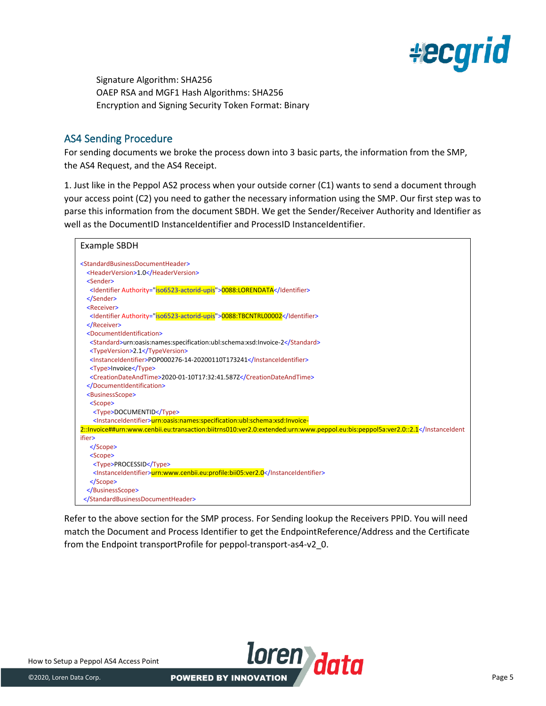

Signature Algorithm: SHA256 OAEP RSA and MGF1 Hash Algorithms: SHA256 Encryption and Signing Security Token Format: Binary

# AS4 Sending Procedure

For sending documents we broke the process down into 3 basic parts, the information from the SMP, the AS4 Request, and the AS4 Receipt.

1. Just like in the Peppol AS2 process when your outside corner (C1) wants to send a document through your access point (C2) you need to gather the necessary information using the SMP. Our first step was to parse this information from the document SBDH. We get the Sender/Receiver Authority and Identifier as well as the DocumentID InstanceIdentifier and ProcessID InstanceIdentifier.



Refer to the above section for the SMP process. For Sending lookup the Receivers PPID. You will need match the Document and Process Identifier to get the EndpointReference/Address and the Certificate from the Endpoint transportProfile for peppol-transport-as4-v2\_0.

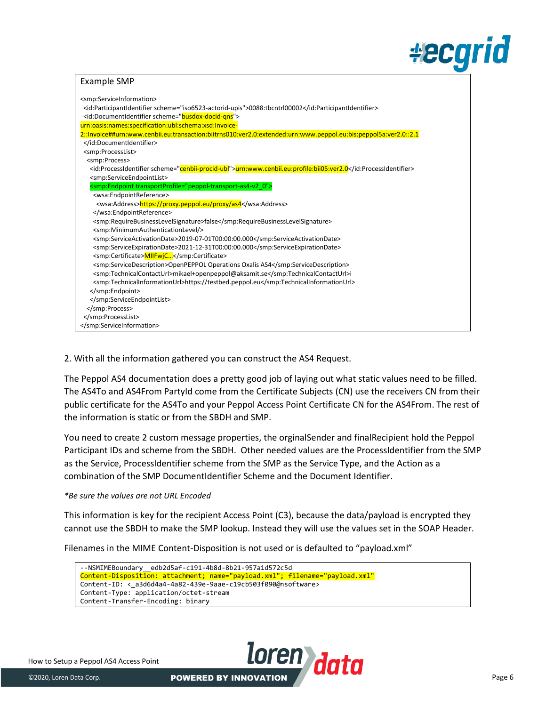# **#ecgrid**

### Example SMP

| <smp:serviceinformation></smp:serviceinformation>                                                               |
|-----------------------------------------------------------------------------------------------------------------|
| <id:participantidentifier scheme="iso6523-actorid-upis">0088:tbcntrl00002</id:participantidentifier>            |
| <id:documentidentifier scheme="busdox-docid-gns"></id:documentidentifier>                                       |
| urn:oasis:names:specification:ubl:schema:xsd:Invoice-                                                           |
| 2::Invoice##urn:www.cenbii.eu:transaction:biitrns010:ver2.0:extended:urn:www.peppol.eu:bis:peppol5a:ver2.0::2.1 |
|                                                                                                                 |
| <smp:processlist></smp:processlist>                                                                             |
| <smp:process></smp:process>                                                                                     |
| <id:processidentifier scheme="cenbii-procid-ubl">urn:www.cenbii.eu:profile:bii05:ver2.0</id:processidentifier>  |
| <smp:serviceendpointlist></smp:serviceendpointlist>                                                             |
| <smp:endpoint transportprofile="peppol-transport-as4-v2 0"></smp:endpoint>                                      |
| <wsa:endpointreference></wsa:endpointreference>                                                                 |
| <wsa:address>https://proxy.peppol.eu/proxy/as4</wsa:address>                                                    |
|                                                                                                                 |
| <smp:requirebusinesslevelsignature>false</smp:requirebusinesslevelsignature>                                    |
| <smp:minimumauthenticationlevel></smp:minimumauthenticationlevel>                                               |
| <smp:serviceactivationdate>2019-07-01T00:00:00.000</smp:serviceactivationdate>                                  |
| <smp:serviceexpirationdate>2021-12-31T00:00:00.000</smp:serviceexpirationdate>                                  |
| <smp:certificate>MIIFwjC</smp:certificate>                                                                      |
| <smp:servicedescription>OpenPEPPOL Operations Oxalis AS4</smp:servicedescription>                               |
| <smp:technicalcontacturl>mikael+openpeppol@aksamit.se</smp:technicalcontacturl> i                               |
| <smp:technicalinformationurl>https://testbed.peppol.eu</smp:technicalinformationurl>                            |
|                                                                                                                 |
|                                                                                                                 |
|                                                                                                                 |
|                                                                                                                 |
|                                                                                                                 |

### 2. With all the information gathered you can construct the AS4 Request.

The Peppol AS4 documentation does a pretty good job of laying out what static values need to be filled. The AS4To and AS4From PartyId come from the Certificate Subjects (CN) use the receivers CN from their public certificate for the AS4To and your Peppol Access Point Certificate CN for the AS4From. The rest of the information is static or from the SBDH and SMP.

You need to create 2 custom message properties, the orginalSender and finalRecipient hold the Peppol Participant IDs and scheme from the SBDH. Other needed values are the ProcessIdentifier from the SMP as the Service, ProcessIdentifier scheme from the SMP as the Service Type, and the Action as a combination of the SMP DocumentIdentifier Scheme and the Document Identifier.

### *\*Be sure the values are not URL Encoded*

This information is key for the recipient Access Point (C3), because the data/payload is encrypted they cannot use the SBDH to make the SMP lookup. Instead they will use the values set in the SOAP Header.

Filenames in the MIME Content-Disposition is not used or is defaulted to "payload.xml"

| --NSMIMEBoundary edb2d5af-c191-4b8d-8b21-957a1d572c5d                       |
|-----------------------------------------------------------------------------|
| Content-Disposition: attachment; name="payload.xml"; filename="payload.xml" |
| Content-ID: < a3d6d4a4-4a82-439e-9aae-c19cb503f090@nsoftware>               |
| Content-Type: application/octet-stream                                      |
| Content-Transfer-Encoding: binary                                           |

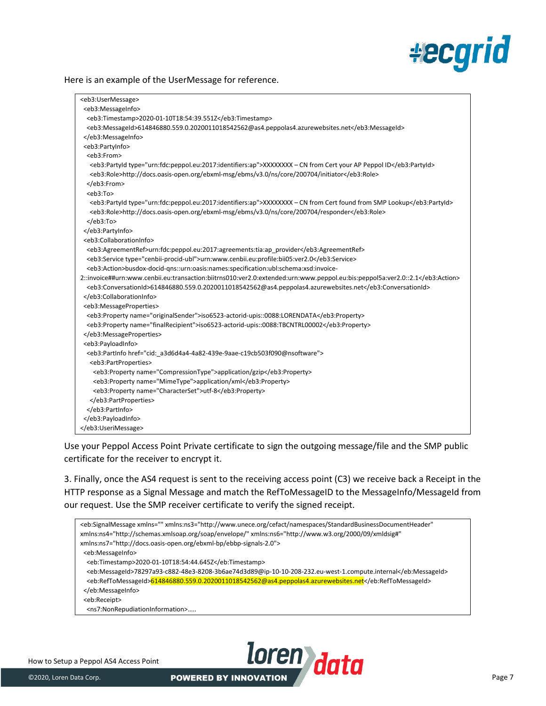

#### Here is an example of the UserMessage for reference.

| <eb3:usermessage></eb3:usermessage>                                                                                  |
|----------------------------------------------------------------------------------------------------------------------|
| <eb3:messageinfo></eb3:messageinfo>                                                                                  |
| <eb3:timestamp>2020-01-10T18:54:39.551Z</eb3:timestamp>                                                              |
| <eb3:messageid>614846880.559.0.2020011018542562@as4.peppolas4.azurewebsites.net</eb3:messageid>                      |
|                                                                                                                      |
| <eb3:partyinfo></eb3:partyinfo>                                                                                      |
| <eb3:from></eb3:from>                                                                                                |
| <eb3:partyld type="urn:fdc:peppol.eu:2017:identifiers:ap">XXXXXXXX - CN from Cert your AP Peppol ID</eb3:partyld>    |
| <eb3:role>http://docs.oasis-open.org/ebxml-msg/ebms/v3.0/ns/core/200704/initiator</eb3:role>                         |
|                                                                                                                      |
| <eb3:to></eb3:to>                                                                                                    |
| <eb3:partyid type="urn:fdc:peppol.eu:2017:identifiers:ap">XXXXXXX - CN from Cert found from SMP Lookup</eb3:partyid> |
| <eb3:role>http://docs.oasis-open.org/ebxml-msg/ebms/v3.0/ns/core/200704/responder</eb3:role>                         |
| $<$ /eb3:To>                                                                                                         |
|                                                                                                                      |
| <eb3:collaborationinfo></eb3:collaborationinfo>                                                                      |
| <eb3:agreementref>urn:fdc:peppol.eu:2017:agreements:tia:ap provider</eb3:agreementref>                               |
| <eb3:service type="cenbii-procid-ubl">urn:www.cenbii.eu:profile:bii05:ver2.0</eb3:service>                           |
| <eb3:action>busdox-docid-qns::urn:oasis:names:specification:ubl:schema:xsd:invoice-</eb3:action>                     |
| 2::invoice##urn:www.cenbii.eu:transaction:biitrns010:ver2.0:extended:urn:www.peppol.eu:bis:peppol5a:ver2.0::2.1      |
| <eb3:conversationid>614846880.559.0.2020011018542562@as4.peppolas4.azurewebsites.net</eb3:conversationid>            |
|                                                                                                                      |
| <eb3:messageproperties></eb3:messageproperties>                                                                      |
| <eb3:property name="originalSender">iso6523-actorid-upis::0088:LORENDATA</eb3:property>                              |
| <eb3:property name="finalRecipient">iso6523-actorid-upis::0088:TBCNTRL00002</eb3:property>                           |
|                                                                                                                      |
| <eb3:payloadinfo></eb3:payloadinfo>                                                                                  |
| <eb3:partinfo href="cid: a3d6d4a4-4a82-439e-9aae-c19cb503f090@nsoftware"></eb3:partinfo>                             |
| <eb3:partproperties></eb3:partproperties>                                                                            |
| <eb3:property name="CompressionType">application/gzip</eb3:property>                                                 |
| <eb3:property name="MimeType">application/xml</eb3:property>                                                         |
| <eb3:property name="CharacterSet">utf-8</eb3:property>                                                               |
|                                                                                                                      |
|                                                                                                                      |
|                                                                                                                      |
|                                                                                                                      |
|                                                                                                                      |

Use your Peppol Access Point Private certificate to sign the outgoing message/file and the SMP public certificate for the receiver to encrypt it.

3. Finally, once the AS4 request is sent to the receiving access point (C3) we receive back a Receipt in the HTTP response as a Signal Message and match the RefToMessageID to the MessageInfo/MessageId from our request. Use the SMP receiver certificate to verify the signed receipt.



How to Setup a Peppol AS4 Access Point How to Setup a Peppol AS4 Access Point<br> **EXECOPERED BY INNOVATION**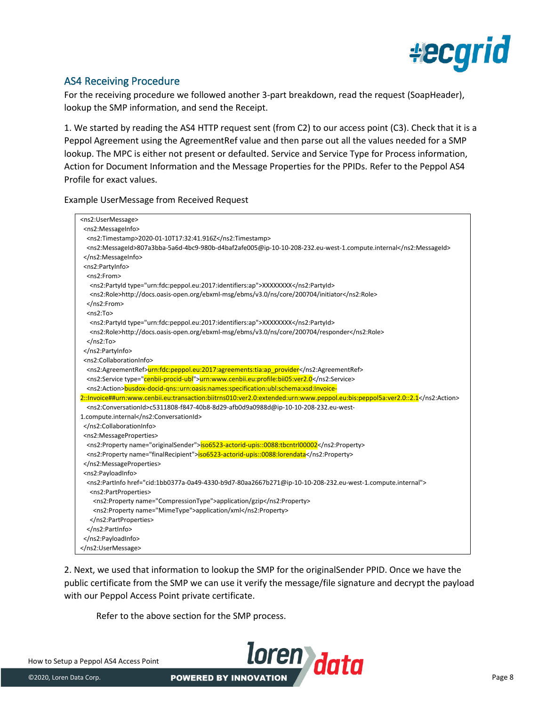

# AS4 Receiving Procedure

For the receiving procedure we followed another 3-part breakdown, read the request (SoapHeader), lookup the SMP information, and send the Receipt.

1. We started by reading the AS4 HTTP request sent (from C2) to our access point (C3). Check that it is a Peppol Agreement using the AgreementRef value and then parse out all the values needed for a SMP lookup. The MPC is either not present or defaulted. Service and Service Type for Process information, Action for Document Information and the Message Properties for the PPIDs. Refer to the Peppol AS4 Profile for exact values.

Example UserMessage from Received Request

| <ns2:usermessage></ns2:usermessage>                                                                                       |
|---------------------------------------------------------------------------------------------------------------------------|
| <ns2:messageinfo></ns2:messageinfo>                                                                                       |
| <ns2:timestamp>2020-01-10T17:32:41.916Z</ns2:timestamp>                                                                   |
| <ns2:messageid>807a3bba-5a6d-4bc9-980b-d4baf2afe005@ip-10-10-208-232.eu-west-1.compute.internal</ns2:messageid>           |
|                                                                                                                           |
| <ns2:partyinfo></ns2:partyinfo>                                                                                           |
| <ns2:from></ns2:from>                                                                                                     |
| <ns2:partyid type="urn:fdc:peppol.eu:2017:identifiers:ap">XXXXXXXX</ns2:partyid>                                          |
| <ns2:role>http://docs.oasis-open.org/ebxml-msg/ebms/v3.0/ns/core/200704/initiator</ns2:role>                              |
|                                                                                                                           |
| $ns2:To>$                                                                                                                 |
|                                                                                                                           |
| <ns2:partyid type="urn:fdc:peppol.eu:2017:identifiers:ap">XXXXXXXX</ns2:partyid>                                          |
| <ns2:role>http://docs.oasis-open.org/ebxml-msg/ebms/v3.0/ns/core/200704/responder</ns2:role>                              |
| $<$ /ns2:To>                                                                                                              |
| <br><ns2:collaborationinfo></ns2:collaborationinfo>                                                                       |
|                                                                                                                           |
| <ns2:agreementref><mark>urn:fdc:peppol.eu:2017:agreements:tia:ap_provider</mark></ns2:agreementref>                       |
| <ns2:service type="cenbii-procid-ubl">urn:www.cenbii.eu:profile:bii05:ver2.0</ns2:service>                                |
| <ns2:action>busdox-docid-qns::urn:oasis:names:specification:ubl:schema:xsd:Invoice-</ns2:action>                          |
| 2::Invoice##urn:www.cenbii.eu:transaction:biitrns010:ver2.0:extended:urn:www.peppol.eu:bis:peppol5a:ver2.0::2.1           |
| <ns2:conversationid>c5311808-f847-40b8-8d29-afb0d9a0988d@ip-10-10-208-232.eu-west-</ns2:conversationid>                   |
| 1.compute.internal                                                                                                        |
|                                                                                                                           |
| <ns2:messageproperties></ns2:messageproperties>                                                                           |
| <ns2:property name="originalSender">iso6523-actorid-upis::0088:tbcntrl00002</ns2:property>                                |
| <ns2:property name="finalRecipient">iso6523-actorid-upis::0088:lorendata</ns2:property>                                   |
|                                                                                                                           |
| <ns2:payloadinfo></ns2:payloadinfo>                                                                                       |
| <ns2:partinfo href="cid:1bb0377a-0a49-4330-b9d7-80aa2667b271@ip-10-10-208-232.eu-west-1.compute.internal"></ns2:partinfo> |
| <ns2:partproperties></ns2:partproperties>                                                                                 |
| <ns2:property name="CompressionType">application/gzip</ns2:property>                                                      |
| <ns2:property name="MimeType">application/xml</ns2:property>                                                              |
|                                                                                                                           |
|                                                                                                                           |
|                                                                                                                           |
|                                                                                                                           |

2. Next, we used that information to lookup the SMP for the originalSender PPID. Once we have the public certificate from the SMP we can use it verify the message/file signature and decrypt the payload with our Peppol Access Point private certificate.

Refer to the above section for the SMP process.

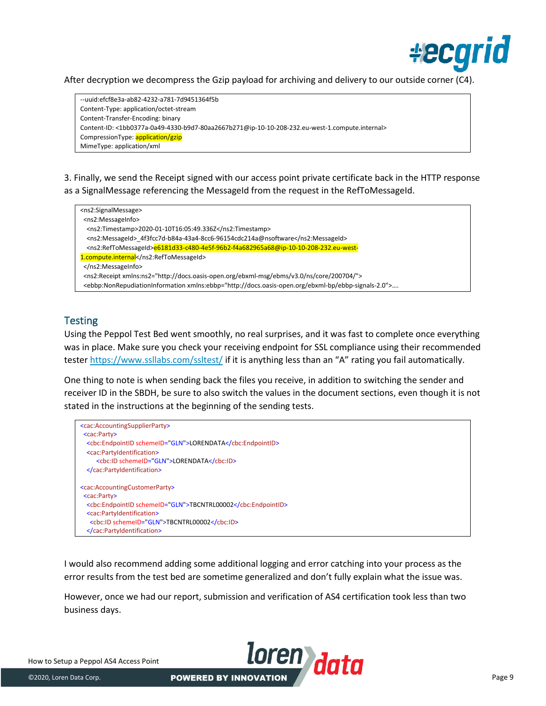

After decryption we decompress the Gzip payload for archiving and delivery to our outside corner (C4).

--uuid:efcf8e3a-ab82-4232-a781-7d9451364f5b Content-Type: application/octet-stream Content-Transfer-Encoding: binary Content-ID: <1bb0377a-0a49-4330-b9d7-80aa2667b271@ip-10-10-208-232.eu-west-1.compute.internal> CompressionType: application/gzip MimeType: application/xml

3. Finally, we send the Receipt signed with our access point private certificate back in the HTTP response as a SignalMessage referencing the MessageId from the request in the RefToMessageId.

| <ns2:signalmessage></ns2:signalmessage>                                                                                             |  |
|-------------------------------------------------------------------------------------------------------------------------------------|--|
| <ns2:messageinfo></ns2:messageinfo>                                                                                                 |  |
| <ns2:timestamp>2020-01-10T16:05:49.336Z</ns2:timestamp>                                                                             |  |
| <ns2:messageid> 4f3fcc7d-b84a-43a4-8cc6-96154cdc214a@nsoftware</ns2:messageid>                                                      |  |
| <ns2:reftomessageid>e6181d33-c480-4e5f-96b2-f4a682965a68@ip-10-10-208-232.eu-west-</ns2:reftomessageid>                             |  |
| 1.compute.internal                                                                                                                  |  |
|                                                                                                                                     |  |
| <ns2:receipt xmlns:ns2="http://docs.oasis-open.org/ebxml-msg/ebms/v3.0/ns/core/200704/"></ns2:receipt>                              |  |
| <ebbp:nonrepudiationinformation xmlns:ebbp="http://docs.oasis-open.org/ebxml-bp/ebbp-signals-2.0"></ebbp:nonrepudiationinformation> |  |
|                                                                                                                                     |  |

# **Testing**

Using the Peppol Test Bed went smoothly, no real surprises, and it was fast to complete once everything was in place. Make sure you check your receiving endpoint for SSL compliance using their recommended tester<https://www.ssllabs.com/ssltest/> if it is anything less than an "A" rating you fail automatically.

One thing to note is when sending back the files you receive, in addition to switching the sender and receiver ID in the SBDH, be sure to also switch the values in the document sections, even though it is not stated in the instructions at the beginning of the sending tests.

```
<cac:AccountingSupplierParty>
 <cac:Party>
  <cbc:EndpointID schemeID="GLN">LORENDATA</cbc:EndpointID>
  <cac:PartyIdentification>
    <cbc:ID schemeID="GLN">LORENDATA</cbc:ID>
  </cac:PartyIdentification>
<cac:AccountingCustomerParty>
 <cac:Party>
  <cbc:EndpointID schemeID="GLN">TBCNTRL00002</cbc:EndpointID>
  <cac:PartyIdentification>
    <cbc:ID schemeID="GLN">TBCNTRL00002</cbc:ID>
  </cac:PartyIdentification>
```
I would also recommend adding some additional logging and error catching into your process as the error results from the test bed are sometime generalized and don't fully explain what the issue was.

However, once we had our report, submission and verification of AS4 certification took less than two business days.